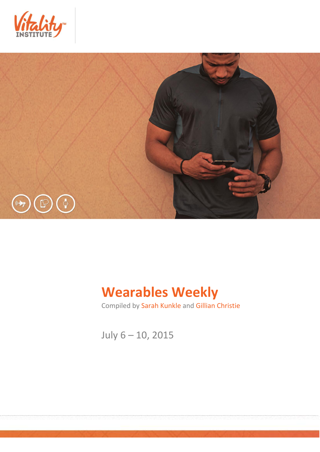



# **Wearables Weekly**

Compiled by Sarah Kunkle and Gillian Christie

July 6 – 10, 2015